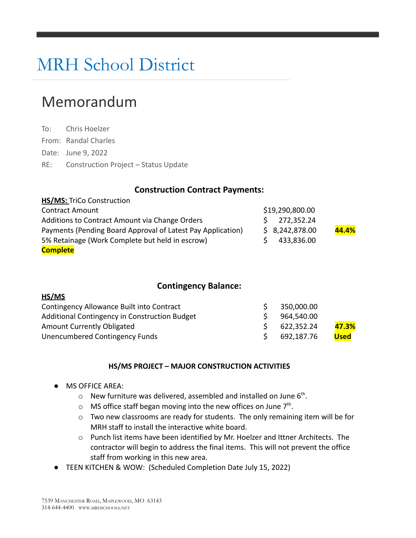# MRH School District

# Memorandum

To: Chris Hoelzer From: Randal Charles Date: June 9, 2022 RE: Construction Project – Status Update

## **Construction Contract Payments:**

| HS/MS: TriCo Construction                                   |                 |       |  |
|-------------------------------------------------------------|-----------------|-------|--|
| <b>Contract Amount</b>                                      | \$19,290,800.00 |       |  |
| Additions to Contract Amount via Change Orders              | 272,352.24      |       |  |
| Payments (Pending Board Approval of Latest Pay Application) | \$8,242,878.00  | 44.4% |  |
| 5% Retainage (Work Complete but held in escrow)             | 433,836.00      |       |  |
| <b>Complete</b>                                             |                 |       |  |

## **Contingency Balance:**

| Contingency Allowance Built into Contract     | 350,000.00 |             |
|-----------------------------------------------|------------|-------------|
| Additional Contingency in Construction Budget | 964,540.00 |             |
| Amount Currently Obligated                    | 622,352.24 | 47.3%       |
| Unencumbered Contingency Funds                | 692,187.76 | <b>Used</b> |

#### **HS/MS PROJECT – MAJOR CONSTRUCTION ACTIVITIES**

MS OFFICE AREA:

**HS/MS**

- $\circ$  New furniture was delivered, assembled and installed on June 6<sup>th</sup>.
- $\circ$  MS office staff began moving into the new offices on June  $7<sup>th</sup>$ .
- o Two new classrooms are ready for students. The only remaining item will be for MRH staff to install the interactive white board.
- o Punch list items have been identified by Mr. Hoelzer and Ittner Architects. The contractor will begin to address the final items. This will not prevent the office staff from working in this new area.
- TEEN KITCHEN & WOW: (Scheduled Completion Date July 15, 2022)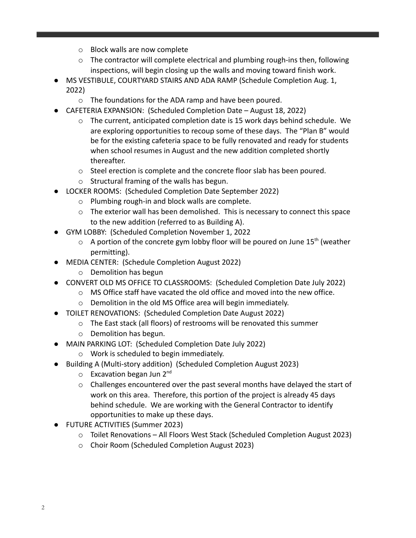- o Block walls are now complete
- $\circ$  The contractor will complete electrical and plumbing rough-ins then, following inspections, will begin closing up the walls and moving toward finish work.
- MS VESTIBULE, COURTYARD STAIRS AND ADA RAMP (Schedule Completion Aug. 1, 2022)
	- o The foundations for the ADA ramp and have been poured.
- CAFETERIA EXPANSION: (Scheduled Completion Date August 18, 2022)
	- $\circ$  The current, anticipated completion date is 15 work days behind schedule. We are exploring opportunities to recoup some of these days. The "Plan B" would be for the existing cafeteria space to be fully renovated and ready for students when school resumes in August and the new addition completed shortly thereafter.
	- o Steel erection is complete and the concrete floor slab has been poured.
	- o Structural framing of the walls has begun.
- LOCKER ROOMS: (Scheduled Completion Date September 2022)
	- o Plumbing rough-in and block walls are complete.
	- $\circ$  The exterior wall has been demolished. This is necessary to connect this space to the new addition (referred to as Building A).
- GYM LOBBY: (Scheduled Completion November 1, 2022
	- $\circ$  A portion of the concrete gym lobby floor will be poured on June 15<sup>th</sup> (weather permitting).
- MEDIA CENTER: (Schedule Completion August 2022)
	- o Demolition has begun
- CONVERT OLD MS OFFICE TO CLASSROOMS: (Scheduled Completion Date July 2022)
	- $\circ$  MS Office staff have vacated the old office and moved into the new office.
	- o Demolition in the old MS Office area will begin immediately.
- TOILET RENOVATIONS: (Scheduled Completion Date August 2022)
	- o The East stack (all floors) of restrooms will be renovated this summer
	- o Demolition has begun.
- MAIN PARKING LOT: (Scheduled Completion Date July 2022)
	- o Work is scheduled to begin immediately.
- Building A (Multi-story addition) (Scheduled Completion August 2023)
	- $\circ$  Excavation began Jun 2<sup>nd</sup>
	- o Challenges encountered over the past several months have delayed the start of work on this area. Therefore, this portion of the project is already 45 days behind schedule. We are working with the General Contractor to identify opportunities to make up these days.
- FUTURE ACTIVITIES (Summer 2023)
	- o Toilet Renovations All Floors West Stack (Scheduled Completion August 2023)
	- o Choir Room (Scheduled Completion August 2023)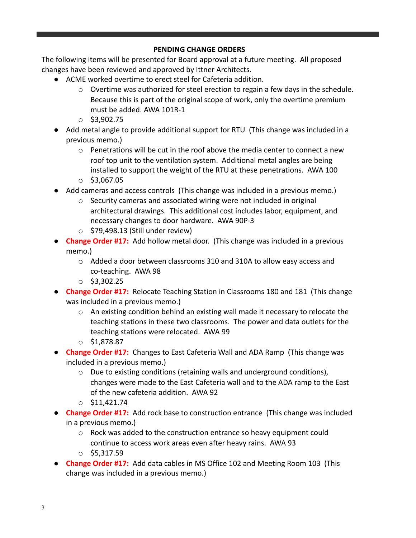#### **PENDING CHANGE ORDERS**

The following items will be presented for Board approval at a future meeting. All proposed changes have been reviewed and approved by Ittner Architects.

- ACME worked overtime to erect steel for Cafeteria addition.
	- $\circ$  Overtime was authorized for steel erection to regain a few days in the schedule. Because this is part of the original scope of work, only the overtime premium must be added. AWA 101R-1
	- $\circ$  \$3,902.75
- Add metal angle to provide additional support for RTU (This change was included in a previous memo.)
	- $\circ$  Penetrations will be cut in the roof above the media center to connect a new roof top unit to the ventilation system. Additional metal angles are being installed to support the weight of the RTU at these penetrations. AWA 100  $\circ$  \$3,067.05
- Add cameras and access controls (This change was included in a previous memo.)
	- o Security cameras and associated wiring were not included in original architectural drawings. This additional cost includes labor, equipment, and necessary changes to door hardware. AWA 90P-3
	- $\circ$  \$79,498.13 (Still under review)
- **Change Order #17:** Add hollow metal door. (This change was included in a previous memo.)
	- o Added a door between classrooms 310 and 310A to allow easy access and co-teaching. AWA 98
	- $\circ$  \$3,302.25
- **Change Order #17:** Relocate Teaching Station in Classrooms 180 and 181 (This change was included in a previous memo.)
	- $\circ$  An existing condition behind an existing wall made it necessary to relocate the teaching stations in these two classrooms. The power and data outlets for the teaching stations were relocated. AWA 99
	- o \$1,878.87
- **Change Order #17:** Changes to East Cafeteria Wall and ADA Ramp (This change was included in a previous memo.)
	- o Due to existing conditions (retaining walls and underground conditions), changes were made to the East Cafeteria wall and to the ADA ramp to the East of the new cafeteria addition. AWA 92
	- $\circ$  \$11,421.74
- **Change Order #17:** Add rock base to construction entrance (This change was included in a previous memo.)
	- o Rock was added to the construction entrance so heavy equipment could continue to access work areas even after heavy rains. AWA 93
	- $\circ$  \$5,317.59
- **Change Order #17:** Add data cables in MS Office 102 and Meeting Room 103 (This change was included in a previous memo.)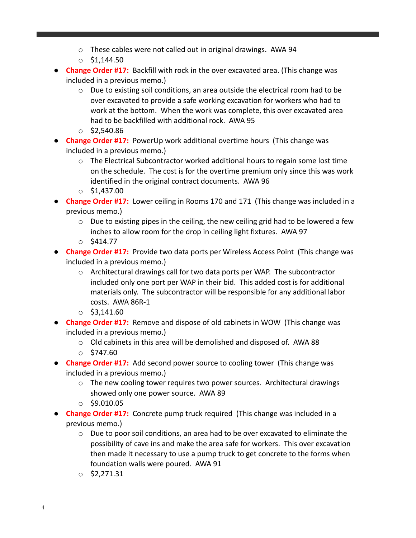- o These cables were not called out in original drawings. AWA 94
- $\circ$  \$1,144.50
- **Change Order #17:** Backfill with rock in the over excavated area. (This change was included in a previous memo.)
	- $\circ$  Due to existing soil conditions, an area outside the electrical room had to be over excavated to provide a safe working excavation for workers who had to work at the bottom. When the work was complete, this over excavated area had to be backfilled with additional rock. AWA 95
	- $\circ$  \$2,540.86
- **Change Order #17:** PowerUp work additional overtime hours (This change was included in a previous memo.)
	- o The Electrical Subcontractor worked additional hours to regain some lost time on the schedule. The cost is for the overtime premium only since this was work identified in the original contract documents. AWA 96
	- $\circ$  \$1,437.00
- **Change Order #17:** Lower ceiling in Rooms 170 and 171 (This change was included in a previous memo.)
	- $\circ$  Due to existing pipes in the ceiling, the new ceiling grid had to be lowered a few inches to allow room for the drop in ceiling light fixtures. AWA 97
	- $\circ$  \$414.77
- **Change Order #17:** Provide two data ports per Wireless Access Point (This change was included in a previous memo.)
	- o Architectural drawings call for two data ports per WAP. The subcontractor included only one port per WAP in their bid. This added cost is for additional materials only. The subcontractor will be responsible for any additional labor costs. AWA 86R-1
	- $\circ$  \$3,141.60
- **Change Order #17:** Remove and dispose of old cabinets in WOW (This change was included in a previous memo.)
	- o Old cabinets in this area will be demolished and disposed of. AWA 88
	- $O$  \$747.60
- **Change Order #17:** Add second power source to cooling tower (This change was included in a previous memo.)
	- o The new cooling tower requires two power sources. Architectural drawings showed only one power source. AWA 89
	- $\circ$  \$9.010.05
- **Change Order #17:** Concrete pump truck required (This change was included in a previous memo.)
	- o Due to poor soil conditions, an area had to be over excavated to eliminate the possibility of cave ins and make the area safe for workers. This over excavation then made it necessary to use a pump truck to get concrete to the forms when foundation walls were poured. AWA 91
	- $\circ$  \$2,271.31